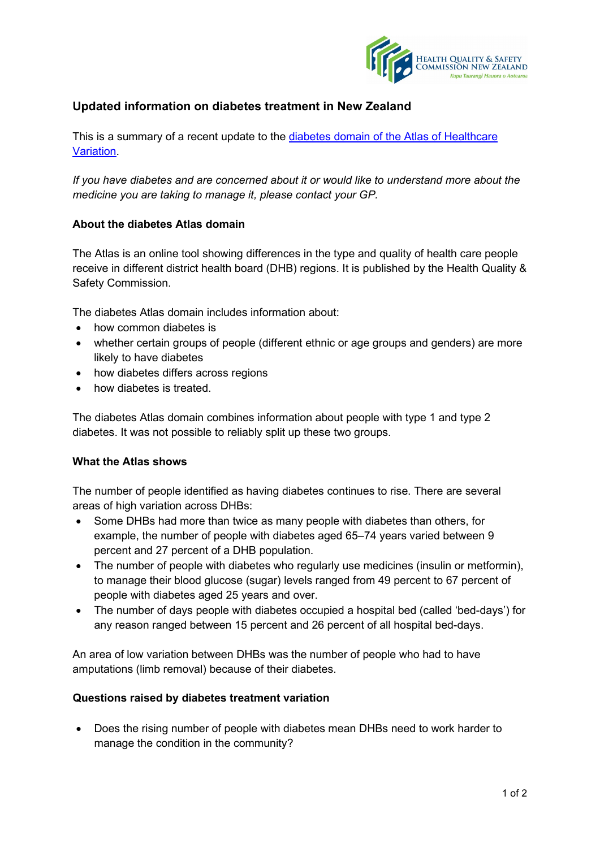

# **Updated information on diabetes treatment in New Zealand**

This is a summary of a recent update to the diabetes [domain of the Atlas](http://hqsc.govt.nz/atlas/diabetes) of Healthcare [Variation.](http://hqsc.govt.nz/atlas/diabetes)

*If you have diabetes and are concerned about it or would like to understand more about the medicine you are taking to manage it, please contact your GP.*

## **About the diabetes Atlas domain**

The Atlas is an online tool showing differences in the type and quality of health care people receive in different district health board (DHB) regions. It is published by the Health Quality & Safety Commission.

The diabetes Atlas domain includes information about:

- how common diabetes is
- whether certain groups of people (different ethnic or age groups and genders) are more likely to have diabetes
- how diabetes differs across regions
- how diabetes is treated.

The diabetes Atlas domain combines information about people with type 1 and type 2 diabetes. It was not possible to reliably split up these two groups.

#### **What the Atlas shows**

The number of people identified as having diabetes continues to rise. There are several areas of high variation across DHBs:

- Some DHBs had more than twice as many people with diabetes than others, for example, the number of people with diabetes aged 65–74 years varied between 9 percent and 27 percent of a DHB population.
- The number of people with diabetes who regularly use medicines (insulin or metformin), to manage their blood glucose (sugar) levels ranged from 49 percent to 67 percent of people with diabetes aged 25 years and over.
- The number of days people with diabetes occupied a hospital bed (called 'bed-days') for any reason ranged between 15 percent and 26 percent of all hospital bed-days.

An area of low variation between DHBs was the number of people who had to have amputations (limb removal) because of their diabetes.

#### **Questions raised by diabetes treatment variation**

• Does the rising number of people with diabetes mean DHBs need to work harder to manage the condition in the community?